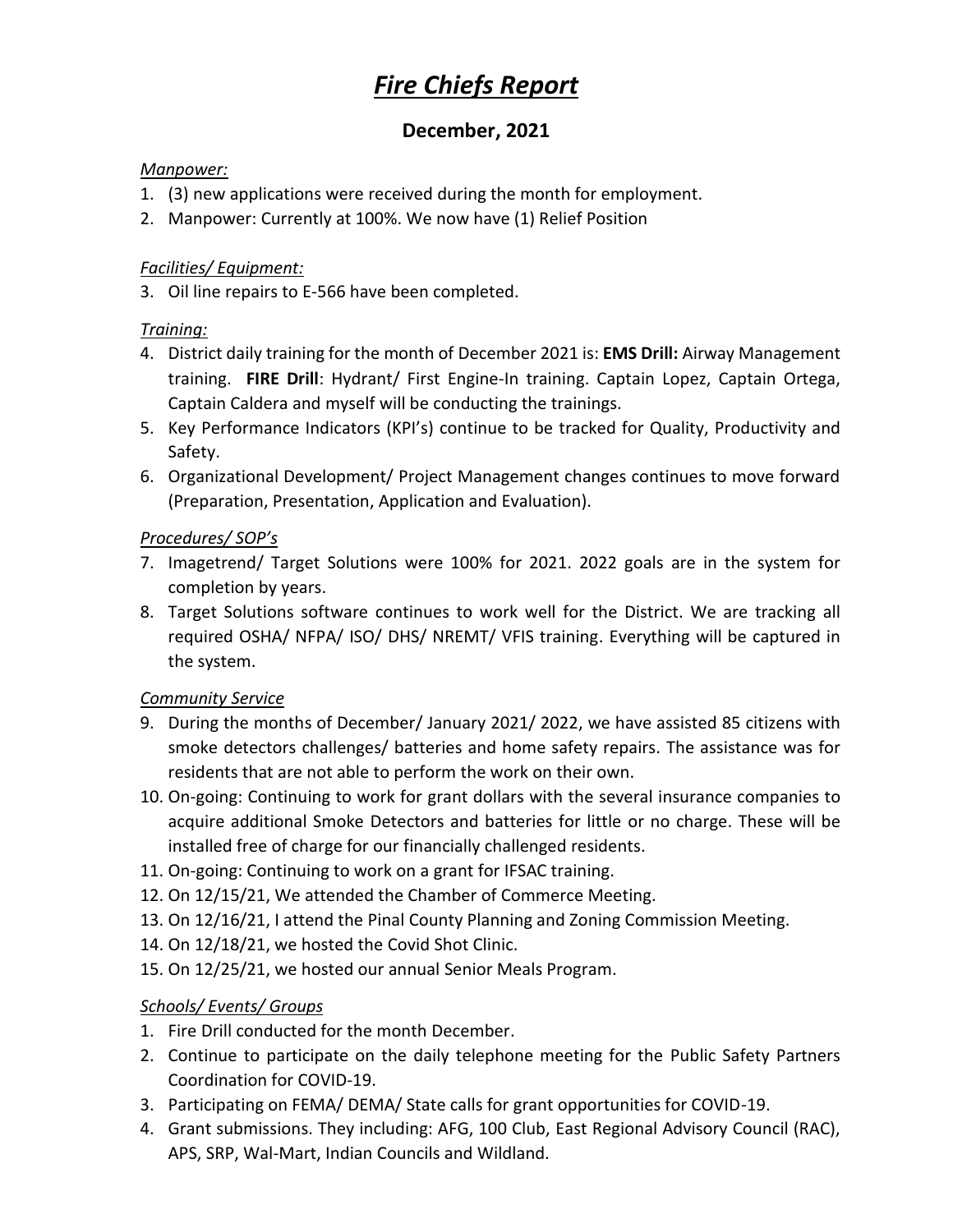# *Fire Chiefs Report*

# **December, 2021**

#### *Manpower:*

- 1. (3) new applications were received during the month for employment.
- 2. Manpower: Currently at 100%. We now have (1) Relief Position

#### *Facilities/ Equipment:*

3. Oil line repairs to E-566 have been completed.

#### *Training:*

- 4. District daily training for the month of December 2021 is: **EMS Drill:** Airway Management training. **FIRE Drill**: Hydrant/ First Engine-In training. Captain Lopez, Captain Ortega, Captain Caldera and myself will be conducting the trainings.
- 5. Key Performance Indicators (KPI's) continue to be tracked for Quality, Productivity and Safety.
- 6. Organizational Development/ Project Management changes continues to move forward (Preparation, Presentation, Application and Evaluation).

### *Procedures/ SOP's*

- 7. Imagetrend/ Target Solutions were 100% for 2021. 2022 goals are in the system for completion by years.
- 8. Target Solutions software continues to work well for the District. We are tracking all required OSHA/ NFPA/ ISO/ DHS/ NREMT/ VFIS training. Everything will be captured in the system.

#### *Community Service*

- 9. During the months of December/ January 2021/ 2022, we have assisted 85 citizens with smoke detectors challenges/ batteries and home safety repairs. The assistance was for residents that are not able to perform the work on their own.
- 10. On-going: Continuing to work for grant dollars with the several insurance companies to acquire additional Smoke Detectors and batteries for little or no charge. These will be installed free of charge for our financially challenged residents.
- 11. On-going: Continuing to work on a grant for IFSAC training.
- 12. On 12/15/21, We attended the Chamber of Commerce Meeting.
- 13. On 12/16/21, I attend the Pinal County Planning and Zoning Commission Meeting.
- 14. On 12/18/21, we hosted the Covid Shot Clinic.
- 15. On 12/25/21, we hosted our annual Senior Meals Program.

# *Schools/ Events/ Groups*

- 1. Fire Drill conducted for the month December.
- 2. Continue to participate on the daily telephone meeting for the Public Safety Partners Coordination for COVID-19.
- 3. Participating on FEMA/ DEMA/ State calls for grant opportunities for COVID-19.
- 4. Grant submissions. They including: AFG, 100 Club, East Regional Advisory Council (RAC), APS, SRP, Wal-Mart, Indian Councils and Wildland.